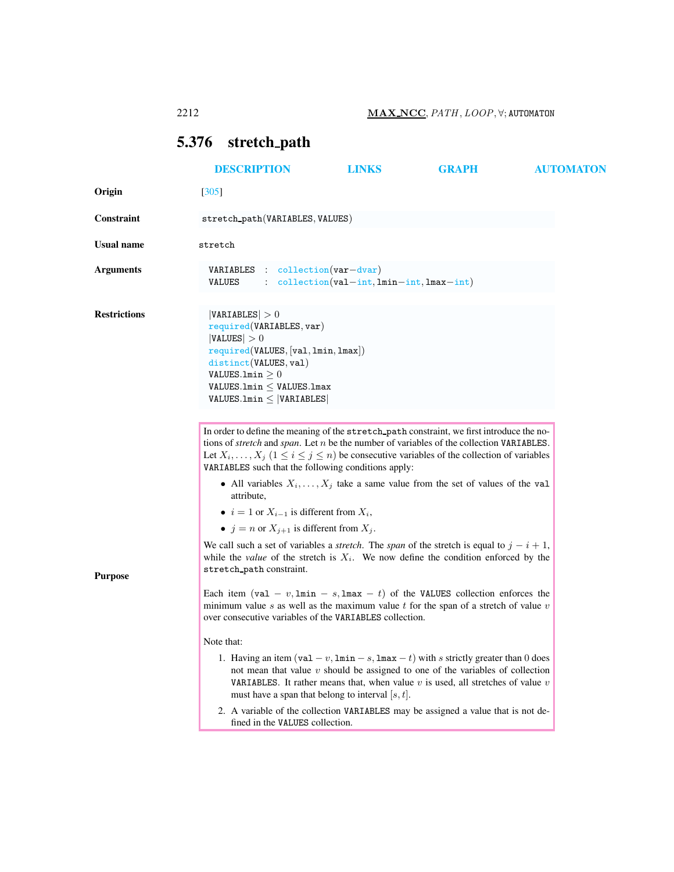# <span id="page-0-0"></span>5.376 stretch path

| <b>DESCRIPTION</b>                                                              | <b>LINKS</b> | <b>GRAPH</b>                                                                                                                                                                                                                                                                                                                                          | <b>AUTOMATON</b>                                                                                                                                                                                                                                                                                                                                                                                                                                                                                                                                                                                                                                                                                                                                                                                                                                                                                                                                                                                                                                                                                                                                                                                                                                                                                                                                                                                                                           |
|---------------------------------------------------------------------------------|--------------|-------------------------------------------------------------------------------------------------------------------------------------------------------------------------------------------------------------------------------------------------------------------------------------------------------------------------------------------------------|--------------------------------------------------------------------------------------------------------------------------------------------------------------------------------------------------------------------------------------------------------------------------------------------------------------------------------------------------------------------------------------------------------------------------------------------------------------------------------------------------------------------------------------------------------------------------------------------------------------------------------------------------------------------------------------------------------------------------------------------------------------------------------------------------------------------------------------------------------------------------------------------------------------------------------------------------------------------------------------------------------------------------------------------------------------------------------------------------------------------------------------------------------------------------------------------------------------------------------------------------------------------------------------------------------------------------------------------------------------------------------------------------------------------------------------------|
| $[305]$                                                                         |              |                                                                                                                                                                                                                                                                                                                                                       |                                                                                                                                                                                                                                                                                                                                                                                                                                                                                                                                                                                                                                                                                                                                                                                                                                                                                                                                                                                                                                                                                                                                                                                                                                                                                                                                                                                                                                            |
|                                                                                 |              |                                                                                                                                                                                                                                                                                                                                                       |                                                                                                                                                                                                                                                                                                                                                                                                                                                                                                                                                                                                                                                                                                                                                                                                                                                                                                                                                                                                                                                                                                                                                                                                                                                                                                                                                                                                                                            |
| stretch                                                                         |              |                                                                                                                                                                                                                                                                                                                                                       |                                                                                                                                                                                                                                                                                                                                                                                                                                                                                                                                                                                                                                                                                                                                                                                                                                                                                                                                                                                                                                                                                                                                                                                                                                                                                                                                                                                                                                            |
| <b>VALUES</b>                                                                   |              |                                                                                                                                                                                                                                                                                                                                                       |                                                                                                                                                                                                                                                                                                                                                                                                                                                                                                                                                                                                                                                                                                                                                                                                                                                                                                                                                                                                                                                                                                                                                                                                                                                                                                                                                                                                                                            |
| VARIABLES  > 0<br> VALUES  > 0<br>distinct(VALUES, val)<br>VALUES.1min $\geq 0$ |              |                                                                                                                                                                                                                                                                                                                                                       |                                                                                                                                                                                                                                                                                                                                                                                                                                                                                                                                                                                                                                                                                                                                                                                                                                                                                                                                                                                                                                                                                                                                                                                                                                                                                                                                                                                                                                            |
| attribute.<br>stretch_path constraint.<br>Note that:                            |              |                                                                                                                                                                                                                                                                                                                                                       |                                                                                                                                                                                                                                                                                                                                                                                                                                                                                                                                                                                                                                                                                                                                                                                                                                                                                                                                                                                                                                                                                                                                                                                                                                                                                                                                                                                                                                            |
|                                                                                 |              |                                                                                                                                                                                                                                                                                                                                                       |                                                                                                                                                                                                                                                                                                                                                                                                                                                                                                                                                                                                                                                                                                                                                                                                                                                                                                                                                                                                                                                                                                                                                                                                                                                                                                                                                                                                                                            |
|                                                                                 |              | stretch_path(VARIABLES, VALUES)<br>VARIABLES : collection(var-dvar)<br>required(VARIABLES, var)<br>required(VALUES, [val, lmin, lmax])<br>$VALUES.Lmin \leq$ VALUES.1max<br>$VALUES.lmin \leq  VARIABLES $<br>• $i = 1$ or $X_{i-1}$ is different from $X_i$ ,<br>• $j = n$ or $X_{j+1}$ is different from $X_j$ .<br>fined in the VALUES collection. | $\therefore$ collection(val-int, lmin-int, lmax-int)<br>In order to define the meaning of the stretch path constraint, we first introduce the no-<br>tions of <i>stretch</i> and <i>span</i> . Let $n$ be the number of variables of the collection VARIABLES.<br>Let $X_i, \ldots, X_j$ $(1 \le i \le j \le n)$ be consecutive variables of the collection of variables<br>VARIABLES such that the following conditions apply:<br>• All variables $X_i, \ldots, X_j$ take a same value from the set of values of the value<br>We call such a set of variables a <i>stretch</i> . The <i>span</i> of the stretch is equal to $j - i + 1$ ,<br>while the <i>value</i> of the stretch is $X_i$ . We now define the condition enforced by the<br>Each item $(va1 - v, \text{lmin} - s, \text{lmax} - t)$ of the VALUES collection enforces the<br>minimum value s as well as the maximum value t for the span of a stretch of value $v$<br>over consecutive variables of the VARIABLES collection.<br>1. Having an item (val $-v$ , $\text{lnin} - s$ , $\text{lnax} - t$ ) with s strictly greater than 0 does<br>not mean that value $v$ should be assigned to one of the variables of collection<br><b>VARIABLES.</b> It rather means that, when value $v$ is used, all stretches of value $v$<br>must have a span that belong to interval $ s, t $ .<br>2. A variable of the collection VARIABLES may be assigned a value that is not de- |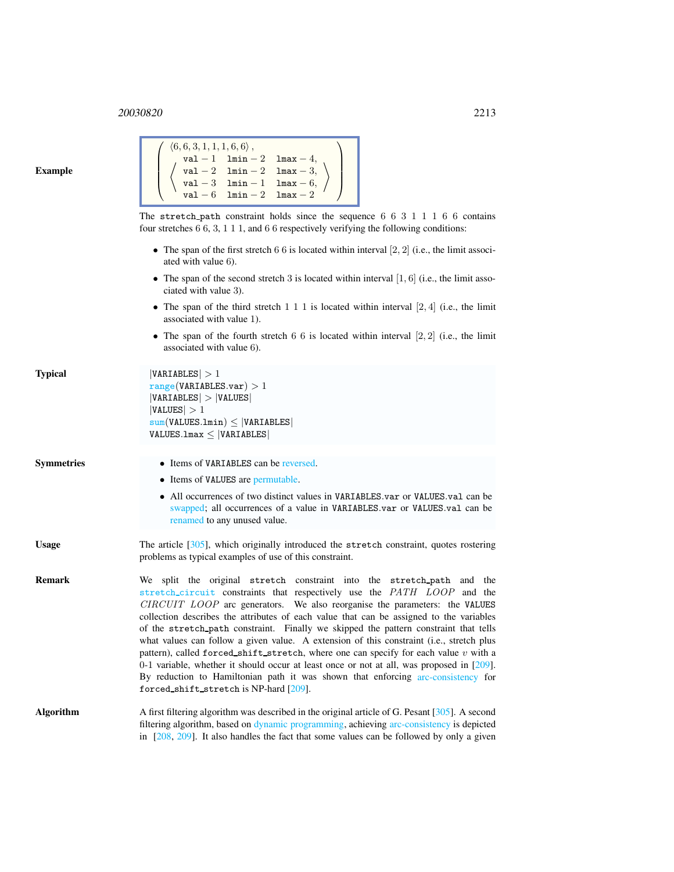| <b>Example</b> |  |
|----------------|--|
|----------------|--|

| $\left[\begin{array}{c} \left\langle 6,6,3,1,1,1,6,6\right\rangle,\\ \left\langle \begin{array}{cc} \text{val}-1 & \text{lnin}-2 & \text{lnax}-4,\\ \left\langle \begin{array}{cc} \text{val}-2 & \text{lnin}-2 & \text{lnax}-3,\\ \text{val}-3 & \text{lnin}-1 & \text{lnax}-6,\\ \text{val}-6 & \text{lnin}-2 & \text{lnax}-2 \end{array} \right\rangle \end{array} \right] \end{array}\right]$ |  |
|---------------------------------------------------------------------------------------------------------------------------------------------------------------------------------------------------------------------------------------------------------------------------------------------------------------------------------------------------------------------------------------------------|--|
| The stretch path constraint holds since the sequence $6\ 6\ 3\ 1\ 1\ 1\ 6\ 6$ contains<br>four stretches $6, 6, 3, 1, 1, 1$ , and $6, 6$ respectively verifying the following conditions:                                                                                                                                                                                                         |  |
| • The span of the first stretch 6 6 is located within interval $\left[2, 2\right]$ (i.e., the limit associ-<br>ated with value 6).                                                                                                                                                                                                                                                                |  |
| • The span of the second stretch 3 is located within interval $[1, 6]$ (i.e., the limit asso-<br>ciated with value 3).                                                                                                                                                                                                                                                                            |  |
| • The span of the third stretch 1 1 1 is located within interval $[2, 4]$ (i.e., the limit<br>associated with value 1).                                                                                                                                                                                                                                                                           |  |
| • The span of the fourth stretch 6 6 is located within interval $[2, 2]$ (i.e., the limit<br>associated with value 6).                                                                                                                                                                                                                                                                            |  |
| VARIABLES  > 1<br>range(VARIABLES.var) > 1<br> VARIABLES  >  VALUES <br> VALUES  > 1<br>$sum(VALUES.lmin) \leq  VARIABLES $                                                                                                                                                                                                                                                                       |  |
| $VALUESumax \leq  VARIABLES $                                                                                                                                                                                                                                                                                                                                                                     |  |

# Symmetries • Items of VARIABLES can be reversed.

Typical

• Items of VALUES are permutable.

- All occurrences of two distinct values in VARIABLES.var or VALUES.val can be swapped; all occurrences of a value in VARIABLES.var or VALUES.val can be renamed to any unused value.
- Usage The article [305], which originally introduced the stretch constraint, quotes rostering problems as typical examples of use of this constraint.
- Remark We split the original stretch constraint into the stretch path and the stretch circuit constraints that respectively use the PATH LOOP and the CIRCUIT LOOP arc generators. We also reorganise the parameters: the VALUES collection describes the attributes of each value that can be assigned to the variables of the stretch path constraint. Finally we skipped the pattern constraint that tells what values can follow a given value. A extension of this constraint (i.e., stretch plus pattern), called forced shift stretch, where one can specify for each value  $v$  with a 0-1 variable, whether it should occur at least once or not at all, was proposed in [209]. By reduction to Hamiltonian path it was shown that enforcing arc-consistency for forced shift stretch is NP-hard [209].
- Algorithm A first filtering algorithm was described in the original article of G. Pesant [305]. A second filtering algorithm, based on dynamic programming, achieving arc-consistency is depicted in  $[208, 209]$ . It also handles the fact that some values can be followed by only a given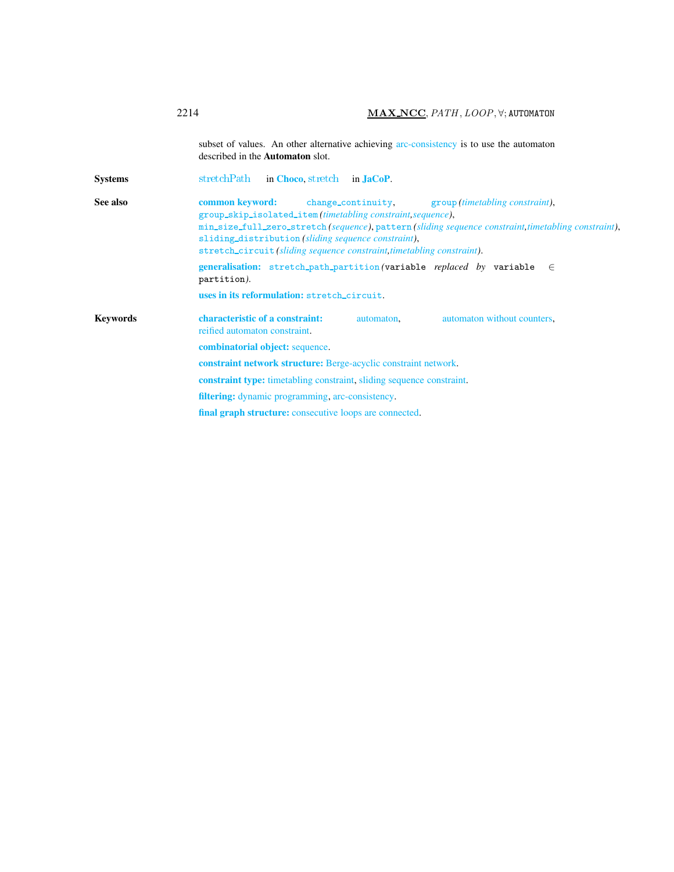<span id="page-2-0"></span>subset of values. An other alternative achieving arc-consistency is to use the automaton described in the Automaton slot. Systems stretchPath in [Choco](http://choco.emn.fr/), stretch in [JaCoP](http://www.jacop.eu/). See also common keyword: change\_continuity, group *(timetabling constraint)*, group skip isolated item *(timetabling constraint,sequence)*, min size full zero stretch *(sequence)*, pattern *(sliding sequence constraint,timetabling constraint)*, sliding distribution *(sliding sequence constraint)*, stretch circuit *(sliding sequence constraint,timetabling constraint)*. generalisation: stretch\_path\_partition(variable *replaced by* variable ∈ partition*)*. uses in its reformulation: stretch circuit. Keywords characteristic of a constraint: automaton, automaton without counters, reified automaton constraint. combinatorial object: sequence. constraint network structure: Berge-acyclic constraint network. constraint type: timetabling constraint, sliding sequence constraint. filtering: dynamic programming, arc-consistency. final graph structure: consecutive loops are connected.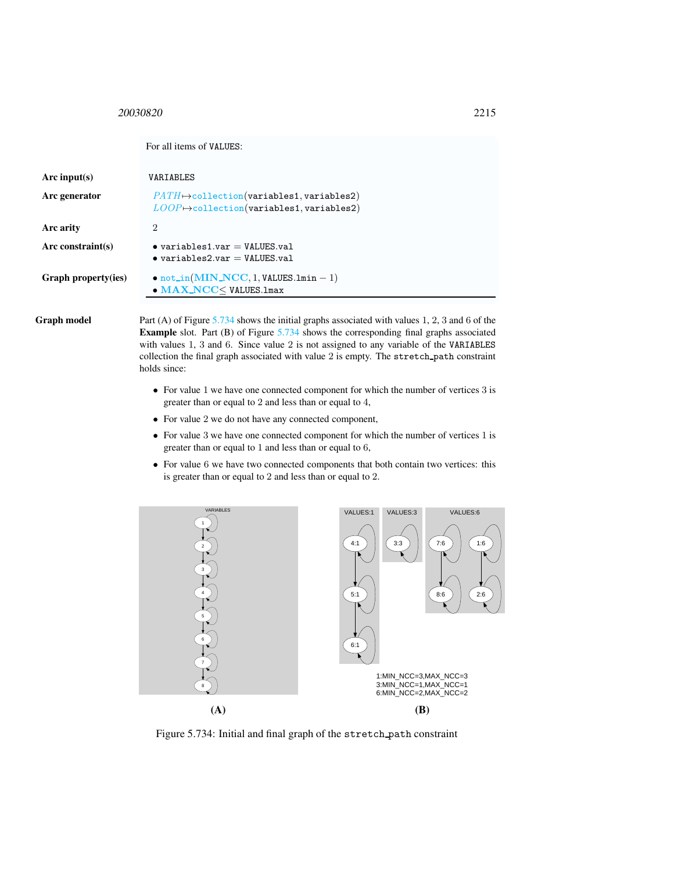<span id="page-3-0"></span>For all items of VALUES:

| Arc input(s)               | VARIABLES                                                                                                                   |
|----------------------------|-----------------------------------------------------------------------------------------------------------------------------|
| Arc generator              | $PATH \rightarrow collection(variables1, variables2)$<br>$\textit{LOOP} \mapsto \text{collection}($ variables1, variables2) |
| Arc arity                  | $\overline{2}$                                                                                                              |
| Arc constraint(s)          | $\bullet$ variables1.var = VALUES.val<br>$\bullet$ variables2.var $=$ VALUES val                                            |
| <b>Graph property(ies)</b> | $\bullet$ not_in(MIN_NCC, 1, VALUES.1min - 1)<br>$\bullet$ MAX_NCC $<$ VALUES.1max                                          |

Graph model Part (A) of Figure [5.734](#page-3-1) shows the initial graphs associated with values 1, 2, 3 and 6 of the Example slot. Part (B) of Figure [5.734](#page-3-1) shows the corresponding final graphs associated with values 1, 3 and 6. Since value 2 is not assigned to any variable of the VARIABLES collection the final graph associated with value 2 is empty. The stretch path constraint holds since:

- For value 1 we have one connected component for which the number of vertices 3 is greater than or equal to 2 and less than or equal to 4,
- For value 2 we do not have any connected component,
- For value 3 we have one connected component for which the number of vertices 1 is greater than or equal to 1 and less than or equal to 6,
- For value 6 we have two connected components that both contain two vertices: this is greater than or equal to 2 and less than or equal to 2.



<span id="page-3-1"></span>Figure 5.734: Initial and final graph of the stretch path constraint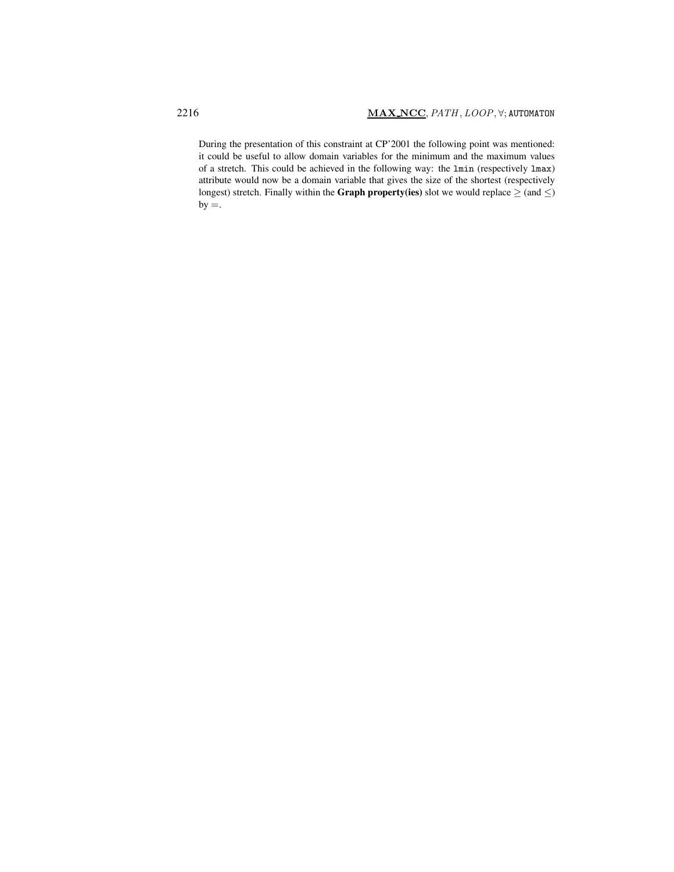During the presentation of this constraint at CP'2001 the following point was mentioned: it could be useful to allow domain variables for the minimum and the maximum values of a stretch. This could be achieved in the following way: the lmin (respectively lmax) attribute would now be a domain variable that gives the size of the shortest (respectively longest) stretch. Finally within the Graph property(ies) slot we would replace  $\geq$  (and  $\leq$ )  $by =.$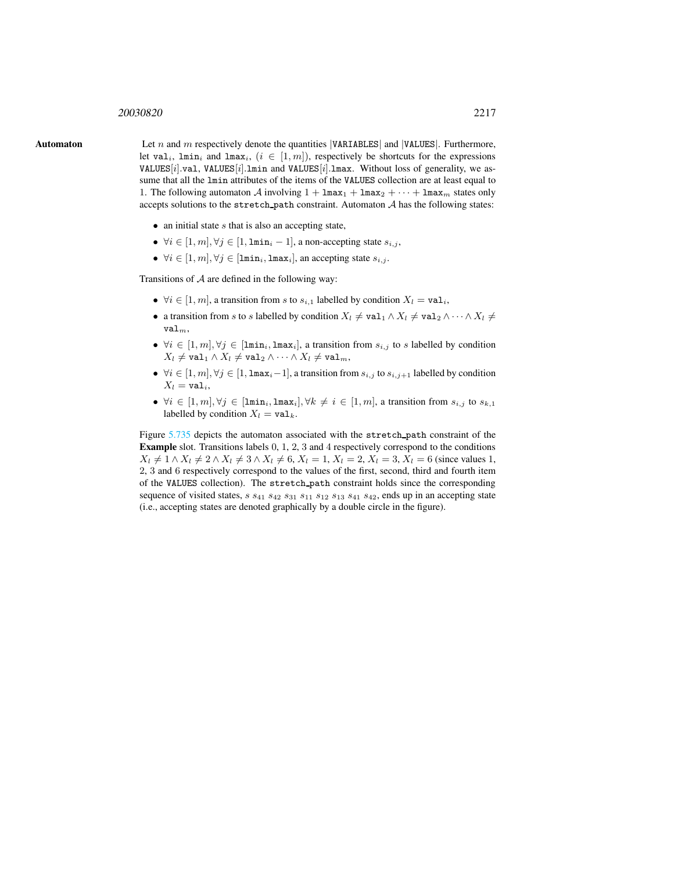**Automaton** Let n and m respectively denote the quantities  $|VARIABLES|$  and  $|VALUES|$ . Furthermore, let val<sub>i</sub>, lmin<sub>i</sub> and lmax<sub>i</sub>,  $(i \in [1, m])$ , respectively be shortcuts for the expressions VALUES $[i]$ .val, VALUES $[i]$ .lmin and VALUES $[i]$ .lmax. Without loss of generality, we assume that all the lmin attributes of the items of the VALUES collection are at least equal to 1. The following automaton  $\mathcal A$  involving  $1 + \text{Im}ax_1 + \text{Im}ax_2 + \cdots + \text{Im}ax_m$  states only accepts solutions to the stretch path constraint. Automaton  $A$  has the following states:

- <span id="page-5-0"></span>• an initial state  $s$  that is also an accepting state,
- $\forall i \in [1, m], \forall j \in [1, \texttt{lmin}_i 1]$ , a non-accepting state  $s_{i,j}$ ,
- $\forall i \in [1, m], \forall j \in [\text{lmin}_i, \text{lmax}_i],$  an accepting state  $s_{i,j}$ .

Transitions of  $A$  are defined in the following way:

- $\forall i \in [1, m]$ , a transition from s to  $s_{i,1}$  labelled by condition  $X_l = \text{val}_i$ ,
- a transition from s to s labelled by condition  $X_l \neq \text{val}_1 \wedge X_l \neq \text{val}_2 \wedge \cdots \wedge X_l \neq \emptyset$  $val_m$ ,
- $\forall i \in [1, m], \forall j \in [\text{lmin}_i, \text{lmax}_i],$  a transition from  $s_{i,j}$  to s labelled by condition  $X_l \neq \texttt{val}_1 \land X_l \neq \texttt{val}_2 \land \dots \land X_l \neq \texttt{val}_m,$
- $\forall i \in [1, m], \forall j \in [1, \texttt{Imax}_i-1],$  a transition from  $s_{i,j}$  to  $s_{i,j+1}$  labelled by condition  $X_l = \texttt{val}_i,$
- $\forall i \in [1, m], \forall j \in [\text{lmin}_i, \text{lmax}_i], \forall k \neq i \in [1, m]$ , a transition from  $s_{i,j}$  to  $s_{k,1}$ labelled by condition  $X_l = \text{val}_k$ .

Figure [5.735](#page-6-0) depicts the automaton associated with the stretch path constraint of the Example slot. Transitions labels 0, 1, 2, 3 and 4 respectively correspond to the conditions  $X_l \neq 1 \wedge X_l \neq 2 \wedge X_l \neq 3 \wedge X_l \neq 6, X_l = 1, X_l = 2, X_l = 3, X_l = 6$  (since values 1, 2, 3 and 6 respectively correspond to the values of the first, second, third and fourth item of the VALUES collection). The stretch path constraint holds since the corresponding sequence of visited states,  $s$   $s_{41}$   $s_{42}$   $s_{31}$   $s_{11}$   $s_{12}$   $s_{13}$   $s_{41}$   $s_{42}$ , ends up in an accepting state (i.e., accepting states are denoted graphically by a double circle in the figure).